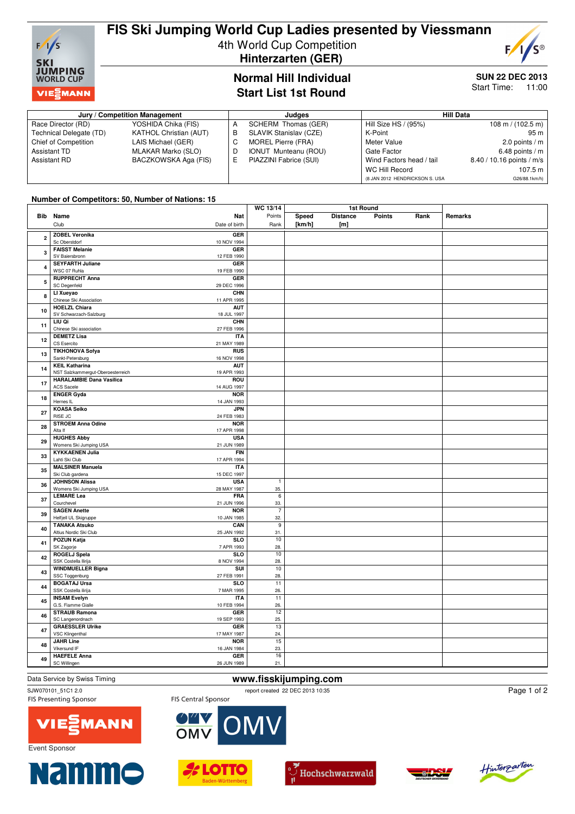

# **FIS Ski Jumping World Cup Ladies presented by Viessmann** 4th World Cup Competition  **Hinterzarten (GER)**

S®  $F/1/$ 

### **Normal Hill Individual Start List 1st Round**

### **SUN 22 DEC 2013**

Start Time: 11:00

| Jury / Competition Management |                               | Judaes                      | Hill Data                      |                                     |  |
|-------------------------------|-------------------------------|-----------------------------|--------------------------------|-------------------------------------|--|
| Race Director (RD)            | YOSHIDA Chika (FIS)           | SCHERM Thomas (GER)         | Hill Size HS / (95%)           | $108 \text{ m} / (102.5 \text{ m})$ |  |
| Technical Delegate (TD)       | <b>KATHOL Christian (AUT)</b> | SLAVIK Stanislav (CZE)      | K-Point                        | 95 m l                              |  |
| Chief of Competition          | LAIS Michael (GER)            | MOREL Pierre (FRA)          | Meter Value                    | 2.0 points / $m$                    |  |
| Assistant TD                  | MLAKAR Marko (SLO)            | <b>IONUT Munteanu (ROU)</b> | Gate Factor                    | 6.48 points / $m$                   |  |
| Assistant RD                  | BACZKOWSKA Aga (FIS)          | PIAZZINI Fabrice (SUI)      | Wind Factors head / tail       | 8.40 / 10.16 points / m/s           |  |
|                               |                               |                             | <b>WC Hill Record</b>          | 107.5 m $\vert$                     |  |
|                               |                               |                             | (8 JAN 2012 HENDRICKSON S. USA | G26/88.1km/h)                       |  |

#### **Number of Competitors: 50, Number of Nations: 15**

|                         |                                                      |                           | WC 13/14        | 1st Round |                  |               |      |         |
|-------------------------|------------------------------------------------------|---------------------------|-----------------|-----------|------------------|---------------|------|---------|
|                         | Bib Name                                             | Nat                       | Points          | Speed     | <b>Distance</b>  | <b>Points</b> | Rank | Remarks |
|                         | Club                                                 | Date of birth             | Rank            | [km/h]    | [ <sub>m</sub> ] |               |      |         |
|                         |                                                      |                           |                 |           |                  |               |      |         |
| $\overline{\mathbf{2}}$ | <b>ZOBEL Veronika</b>                                | <b>GER</b>                |                 |           |                  |               |      |         |
|                         | Sc Oberstdorf                                        | 10 NOV 1994               |                 |           |                  |               |      |         |
| 3                       | <b>FAISST Melanie</b>                                | GER                       |                 |           |                  |               |      |         |
|                         | SV Baiersbronn                                       | 12 FEB 1990               |                 |           |                  |               |      |         |
|                         | <b>SEYFARTH Juliane</b>                              | <b>GER</b>                |                 |           |                  |               |      |         |
| $\overline{\mathbf{4}}$ | WSC 07 Ruhla                                         | 19 FEB 1990               |                 |           |                  |               |      |         |
|                         | <b>RUPPRECHT Anna</b>                                | <b>GER</b>                |                 |           |                  |               |      |         |
| 5                       | SC Degenfeld                                         | 29 DEC 1996               |                 |           |                  |               |      |         |
|                         | LI Xueyao                                            | <b>CHN</b>                |                 |           |                  |               |      |         |
| 8                       | Chinese Ski Association                              | 11 APR 1995               |                 |           |                  |               |      |         |
|                         | <b>HOELZL Chiara</b>                                 | <b>AUT</b>                |                 |           |                  |               |      |         |
| 10                      | SV Schwarzach-Salzburg                               | 18 JUL 1997               |                 |           |                  |               |      |         |
|                         | LIU Qi                                               | <b>CHN</b>                |                 |           |                  |               |      |         |
| 11                      | Chinese Ski association                              | 27 FEB 1996               |                 |           |                  |               |      |         |
|                         | <b>DEMETZ Lisa</b>                                   | <b>ITA</b>                |                 |           |                  |               |      |         |
| 12                      | CS Esercito                                          | 21 MAY 1989               |                 |           |                  |               |      |         |
|                         | <b>TIKHONOVA Sofya</b>                               | <b>RUS</b>                |                 |           |                  |               |      |         |
| 13                      | Sankt-Petersburg                                     | 16 NOV 1998               |                 |           |                  |               |      |         |
|                         | <b>KEIL Katharina</b>                                | <b>AUT</b>                |                 |           |                  |               |      |         |
| 14                      | NST Salzkammergut-Oberoesterreich                    | 19 APR 1993               |                 |           |                  |               |      |         |
|                         |                                                      |                           |                 |           |                  |               |      |         |
| 17                      | <b>HARALAMBIE Dana Vasilica</b><br><b>ACS Sacele</b> | <b>ROU</b><br>14 AUG 1997 |                 |           |                  |               |      |         |
|                         |                                                      |                           |                 |           |                  |               |      |         |
| 18                      | <b>ENGER Gyda</b>                                    | <b>NOR</b>                |                 |           |                  |               |      |         |
|                         | Hernes IL                                            | 14 JAN 1993               |                 |           |                  |               |      |         |
| 27                      | <b>KOASA Seiko</b>                                   | <b>JPN</b>                |                 |           |                  |               |      |         |
|                         | RISE JC                                              | 24 FEB 1983               |                 |           |                  |               |      |         |
| 28                      | <b>STROEM Anna Odine</b>                             | <b>NOR</b>                |                 |           |                  |               |      |         |
|                         | Alta If                                              | 17 APR 1998               |                 |           |                  |               |      |         |
| 29                      | <b>HUGHES Abby</b>                                   | <b>USA</b>                |                 |           |                  |               |      |         |
|                         | Womens Ski Jumping USA                               | 21 JUN 1989               |                 |           |                  |               |      |         |
| 33                      | <b>KYKKAENEN Julia</b>                               | <b>FIN</b>                |                 |           |                  |               |      |         |
|                         | Lahti Ski Club                                       | 17 APR 1994               |                 |           |                  |               |      |         |
| 35                      | <b>MALSINER Manuela</b>                              | <b>ITA</b>                |                 |           |                  |               |      |         |
|                         | Ski Club gardena                                     | 15 DEC 1997               |                 |           |                  |               |      |         |
| 36                      | <b>JOHNSON Alissa</b>                                | <b>USA</b>                | $\overline{1}$  |           |                  |               |      |         |
|                         | Womens Ski Jumping USA                               | 28 MAY 1987               | 35.             |           |                  |               |      |         |
| 37                      | <b>LEMARE Lea</b>                                    | <b>FRA</b>                | $6\overline{6}$ |           |                  |               |      |         |
|                         | Courchevel                                           | 21 JUN 1996               | 33.             |           |                  |               |      |         |
| 39                      | <b>SAGEN Anette</b>                                  | <b>NOR</b>                | $\overline{7}$  |           |                  |               |      |         |
|                         | Helfjell UL Skigruppe                                | 10 JAN 1985               | 32.             |           |                  |               |      |         |
| 40                      | <b>TANAKA Atsuko</b>                                 | CAN                       | 9               |           |                  |               |      |         |
|                         | Altius Nordic Ski Club                               | 25 JAN 1992               | 31.             |           |                  |               |      |         |
| 41                      | <b>POZUN Katja</b>                                   | <b>SLO</b>                | 10              |           |                  |               |      |         |
|                         | SK Zagorje                                           | 7 APR 1993                | 28.             |           |                  |               |      |         |
| 42                      | <b>ROGELJ Spela</b>                                  | SLO                       | 10              |           |                  |               |      |         |
|                         | SSK Costella Ilirija                                 | 8 NOV 1994                | 28.             |           |                  |               |      |         |
| 43                      | <b>WINDMUELLER Bigna</b>                             | SUI                       | 10              |           |                  |               |      |         |
|                         | SSC Toggenburg                                       | 27 FEB 1991               | 28.             |           |                  |               |      |         |
| 44                      | <b>BOGATAJ Ursa</b>                                  | <b>SLO</b>                | $\overline{11}$ |           |                  |               |      |         |
|                         | SSK Costella ilirija                                 | 7 MAR 1995                | 26.             |           |                  |               |      |         |
| 45                      | <b>INSAM Evelyn</b>                                  | <b>ITA</b>                | 11              |           |                  |               |      |         |
|                         | G.S. Fiamme Gialle                                   | 10 FEB 1994               | 26.             |           |                  |               |      |         |
| 46                      | <b>STRAUB Ramona</b>                                 | <b>GER</b>                | 12              |           |                  |               |      |         |
|                         | SC Langenordnach                                     | 19 SEP 1993               | 25.             |           |                  |               |      |         |
| 47                      | <b>GRAESSLER Ulrike</b>                              | <b>GER</b>                | 13              |           |                  |               |      |         |
|                         | <b>VSC Klingenthal</b>                               | 17 MAY 1987               | 24.             |           |                  |               |      |         |
| 48                      | <b>JAHR Line</b>                                     | <b>NOR</b>                | 15              |           |                  |               |      |         |
|                         | Vikersund IF                                         | 16 JAN 1984               | 23.             |           |                  |               |      |         |
| 49                      | <b>HAEFELE Anna</b>                                  | <b>GER</b>                | 16              |           |                  |               |      |         |
|                         | SC Willingen                                         | 26 JUN 1989               | 21.             |           |                  |               |      |         |
|                         |                                                      |                           |                 |           |                  |               |      |         |

### Data Service by Swiss Timing **www.fisskijumping.com**

SJW070101\_51C1 2.0<br>
FIS Presenting Sponsor<br>
FIS Central Sponsor<br>
FIS Central Sponsor

M

Page 1 of 2







FIS Central Sponsor

 $\overline{OM}$